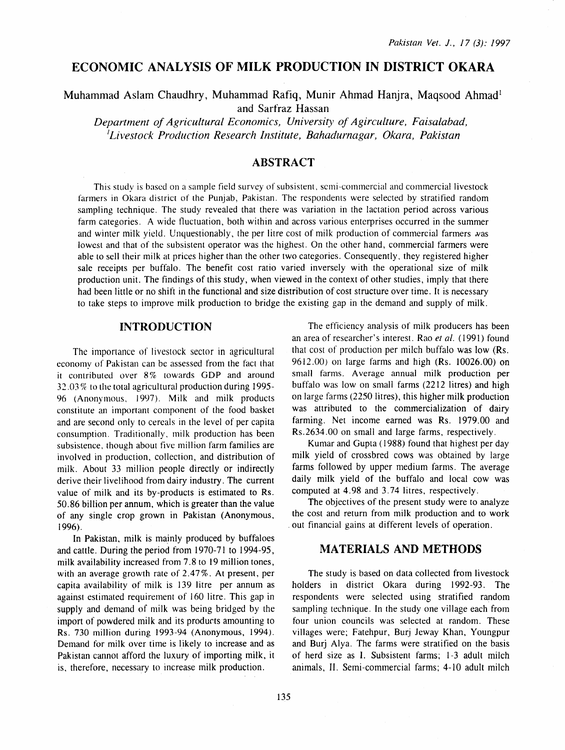# **ECONOMIC ANALYSIS OF MILK PRODUCTION IN DISTRICT OKARA**

Muhammad Aslam Chaudhry, Muhammad Rafiq, Munir Ahmad Hanjra, Maqsood Ahmad<sup>1</sup> and Sarfraz Hassan

*Department of Agricultural Economics, University of Agirculture, Faisalabad, 'Livestock Production Research Institute, Bahadurnagar, Okara, Pakistan* 

## **ABSTRACT**

This study is based on a sample field survey of subsistent, semi-commercial and commercial livestock farmers in Okara district of the Punjab, Pakistan. The respondents were selected by stratified random sampling technique. The study revealed that there was variation in the lactation period across various farm categories. A wide fluctuation, both within and across various enterprises occurred in the summer and winter milk yield. Unquestionably, the per litre cost of milk production of commercial farmers was lowest and that of the subsistent operator was the highest. On the other hand, commercial farmers were able to sell their milk at prices higher than the other two categories. Consequently, they registered higher sale receipts per buffalo. The benefit cost ratio varied inversely with the operational size of milk production unit. The findings of this study, when viewed in the context of other studies, imply that there had been little or no shift in the functional and size distribution of cost structure over time. It is necessary to take steps to improve milk production to bridge the existing gap in the demand and supply of milk.

### **INTRODUCTION**

The importance of livestock sector in agricultural economy of Pakistan can be assessed from the fact that it contributed over 8% towards GOP and around  $32.03\%$  to the total agricultural production during 1995-96 (Anonymous, 1997). Milk and milk products constitute an important component of the food basket and are second only to cereals in the level of per capita consumption. Traditionally, milk production has been subsistence, though about five million farm families are involved in production, collection, and distribution of milk. About 33 million people directly or indirectly derive their livelihood from dairy industry. The current value of milk and its by-products is estimated to Rs. 50.86 billion per annum, which is greater than the value of any single crop grown in Pakistan (Anonymous, 1996).

In Pakistan, milk is mainly produced by buffaloes and cattle. During the period from 1970-71 to 1994-95, milk availability increased from 7. 8 to 19 million tones, with an average growth rate of 2.47%. At present, per capita availability of milk is 139 litre per annum as against estimated requirement of 160 litre. This gap in supply and demand of milk was being bridged by the import of powdered milk and its products amounting to Rs. 730 million during 1993-94 (Anonymous, 1994). Demand for milk over time is likely to increase and as Pakistan cannot afford the luxury of importing milk, it is, therefore, necessary to increase milk production.

The efficiency analysis of milk producers has been an area of researcher's interest. Rao *et al.* ( 1991) found that cost of production per milch buffalo was low (Rs. 9612.00) on large farms and high (Rs. 10026.00) on small farms. Average annual milk production per buffalo was low on small farms (2212 litres) and high on large farms (2250 litres), this higher milk production was attributed to the commercialization of dairy farming. Net income earned was Rs. 1979.00 and Rs.2634.00 on small and large farms, respectively.

Kumar and Gupta ( 1988) found that highest per day milk yield of crossbred cows was obtained by large farms followed by upper medium farms. The average daily milk yield of the buffalo and local cow was computed at 4.98 and 3.74 litres, respectively.

The objectives of the present study were to analyze the cost and return from milk production and to work . out financial gains at different levels of operation.

### **MATERIALS AND METHODS**

The study is based on data collected from livestock holders in district Okara during 1992-93. The respondents were selected using stratified random sampling technique. In the study one village each from four union councils was selected at random. These villages were; Fatehpur, Burj Jeway Khan, Youngpur and Burj Alya. The farms were stratified on the basis of herd size as I. Subsistent farms; 1-3 adult milch animals, II. Semi-commercial farms; 4-10 adult milch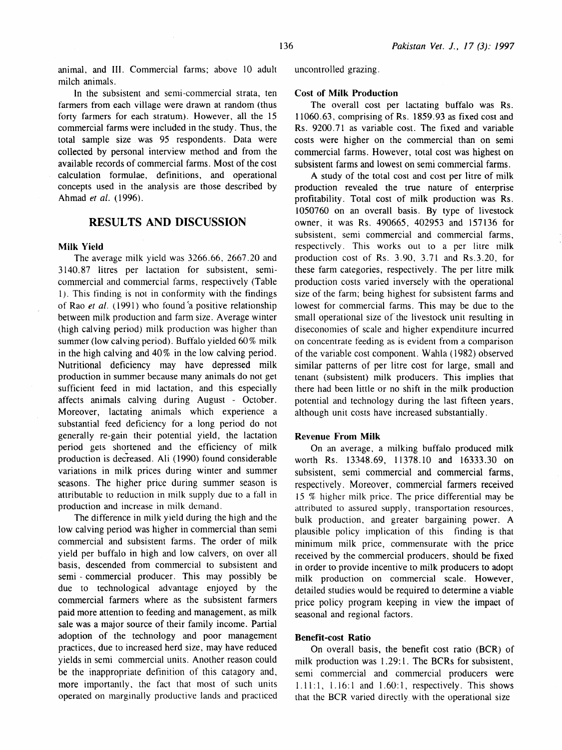animal, and III. Commercial farms; above 10 adult milch animals.

In the subsistent and semi-commercial strata, ten farmers from each village were drawn at random (thus forty farmers for each stratum). However, all the 15 commercial farms were included in the study. Thus, the total sample size was 95 respondents. Data were collected by personal interview method and from the available records of commercial farms. Most of the cost calculation formulae, definitions, and operational concepts used in the analysis are those described by Ahmad *et al.* (1996).

### RESULTS AND DISCUSSION

#### Milk Yield

The average milk yield was 3266.66, 2667.20 and 3140.87 litres per lactation for subsistent, semicommercial and commercial farms, respectively (Table l). This finding is not in conformity with the findings of Rao *et al.* (1991) who found a positive relationship between milk production and farm size. Average winter (high calving period) milk production was higher than summer (low calving period). Buffalo yielded 60% milk in the high calving and 40% in the low calving period. Nutritional deficiency may have depressed milk production in summer because many animals do not get sufficient feed in mid lactation, and this especially affects animals calving during August - October. Moreover, lactating animals which experience a substantial feed deficiency for a long period do not generally re-gain their potential yield, the lactation period gets shortened and the efficiency of milk production is decreased. Ali (1990) found considerable variations in milk prices during winter and summer seasons. The higher price during summer season is attributable to reduction in milk supply due to a fall in production and increase in milk demand.

The difference in milk yield during the high and the low calving period was higher in commercial than semi commercial and subsistent farms. The order of milk yield per buffalo in high and low calvers, on over all basis, descended from commercial to subsistent and semi - commercial producer. This may possibly be due to technological advantage enjoyed by the commercial farmers where as the subsistent farmers paid more attention to feeding and management, as milk sale was a major source of their family income. Partial adoption of the technology and poor management practices, due to increased herd size, may have reduced yields in semi commercial units. Another reason could be the inappropriate definition of this catagory and, more importantly, the fact that most of such units operated on marginally productive lands and practiced uncontrolled grazing.

#### Cost of Milk Production

The overall cost per lactating buffalo was Rs. 11060.63, comprising of Rs. 1859.93 as fixed cost and Rs. 9200.71 as variable cost. The fixed and variable costs were higher on the commercial than on semi commercial farms. However, total cost was highest on subsistent farms and lowest on semi commercial farms.

A study of the total cost and cost per litre of milk production revealed the true nature of enterprise profitability. Total cost of milk production was Rs. 1050760 on an overall basis. By type of livestock owner, it was Rs. 490665, 402953 and 157136 for subsistent, semi commercial and commercial farms, respectively. This works out to a per litre milk production cost of Rs. 3.90, 3.71 and Rs.3.20, for these farm categories, respectively. The per litre milk production costs varied inversely with the operational size of the farm; being highest for subsistent farms and lowest for commercial farms. This may be due to the small operational size of the livestock unit resulting in diseconomies of scale and higher expenditure incurred on concentrate feeding as is evident from a comparison of the variable cost component. W ahla (1982) observed similar patterns of per litre cost for large, small and tenant (subsistent) milk producers. This implies that there had been little or no shift in the milk production potential and technology during the last fifteen years, although unit costs have increased substantially.

#### Revenue From Milk

On an average, a milking buffalo produced milk worth Rs. 13348.69, 11378.10 and 16333.30 on subsistent, semi commercial and commercial farms, respectively. Moreover, commercial farmers received 15 % higher milk price. The price differential may be attributed to assured supply, transportation resources, bulk production, and greater bargaining power. A plausible policy implication of this finding is that minimum milk price, commensurate with the price received by the commercial producers, should be fixed in order to provide incentive to milk producers to adopt milk production on commercial scale. However, detailed studies would be required to determine a viable price policy program keeping in view the impact of seasonal and regional factors.

#### Benefit-cost Ratio

On overall basis, the benefit cost ratio (BCR) of milk production was 1.29:1. The BCRs for subsistent, semi commercial and commercial producers were 1.11:1, 1.16:1 and 1.60:1, respectively. This shows that the BCR varied directly with the operational size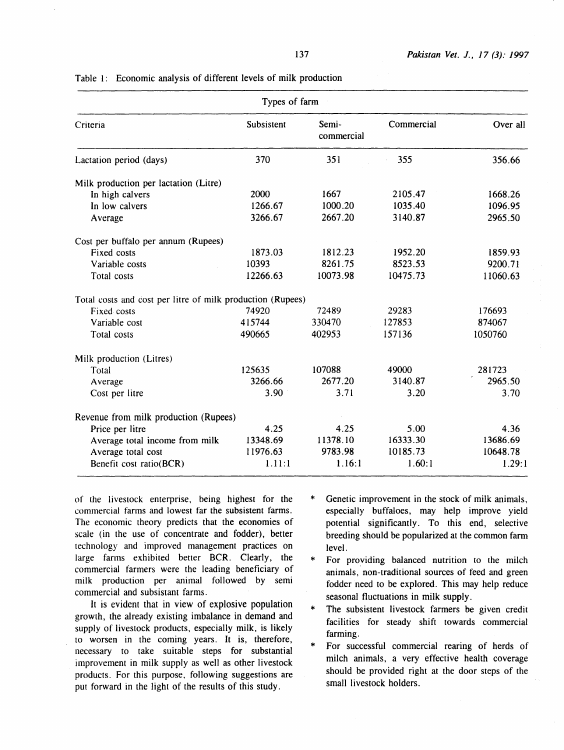| Types of farm                                              |            |                     |            |          |
|------------------------------------------------------------|------------|---------------------|------------|----------|
| Criteria                                                   | Subsistent | Semi-<br>commercial | Commercial | Over all |
| Lactation period (days)                                    | 370        | 351                 | 355        | 356.66   |
| Milk production per lactation (Litre)                      |            |                     |            |          |
| In high calvers                                            | 2000       | 1667                | 2105.47    | 1668.26  |
| In low calvers                                             | 1266.67    | 1000.20             | 1035.40    | 1096.95  |
| Average                                                    | 3266.67    | 2667.20             | 3140.87    | 2965.50  |
| Cost per buffalo per annum (Rupees)                        |            |                     |            |          |
| Fixed costs                                                | 1873.03    | 1812.23             | 1952.20    | 1859.93  |
| Variable costs                                             | 10393      | 8261.75             | 8523.53    | 9200.71  |
| Total costs                                                | 12266.63   | 10073.98            | 10475.73   | 11060.63 |
| Total costs and cost per litre of milk production (Rupees) |            |                     |            |          |
| Fixed costs                                                | 74920      | 72489               | 29283      | 176693   |
| Variable cost                                              | 415744     | 330470              | 127853     | 874067   |
| Total costs                                                | 490665     | 402953              | 157136     | 1050760  |
| Milk production (Litres)                                   |            |                     |            |          |
| Total                                                      | 125635     | 107088              | 49000      | 281723   |
| Average                                                    | 3266.66    | 2677.20             | 3140.87    | 2965.50  |
| Cost per litre                                             | 3.90       | 3.71                | 3.20       | 3.70     |
| Revenue from milk production (Rupees)                      |            |                     |            |          |
| Price per litre                                            | 4.25       | 4.25                | 5.00       | 4.36     |
| Average total income from milk                             | 13348.69   | 11378.10            | 16333.30   | 13686.69 |
| Average total cost                                         | 11976.63   | 9783.98             | 10185.73   | 10648.78 |
| Benefit cost ratio(BCR)                                    | 1.11:1     | 1.16:1              | 1.60:1     | 1.29:1   |

Table I: Economic analysis of different levels of milk production

of the livestock enterprise, being highest for the commercial farms and lowest far the subsistent farms. The economic theory predicts that the economies of scale (in the use of concentrate and fodder), better technology and improved management practices on large farms exhibited better BCR. Clearly, the commercial farmers were the leading beneficiary of milk production per animal followed by semi commercial and subsistant farms.

It is evident that in view of explosive population growth, the already existing imbalance in demand and supply of livestock products, especially milk, is likely to worsen in the coming years. It is, therefore, necessary to take suitable steps for substantial improvement in milk supply as well as other livestock products. For this purpose, following suggestions are put forward in the light of the results of this study.

- \* Genetic improvement in the stock of milk animals, especially buffaloes, may help improve yield potential significantly. To this end, selective breeding should be popularized at the common farm level.
- \* For providing balanced nutrition to the milch animals, non-traditional sources of feed and green fodder need to be explored. This may help reduce seasonal fluctuations in milk supply.
- \* The subsistent livestock farmers be given credit facilities for steady shift towards commercial farming.
- \* For successful commercial rearing of herds of milch animals, a very effective health coverage should be provided right at the door steps of the small livestock holders.